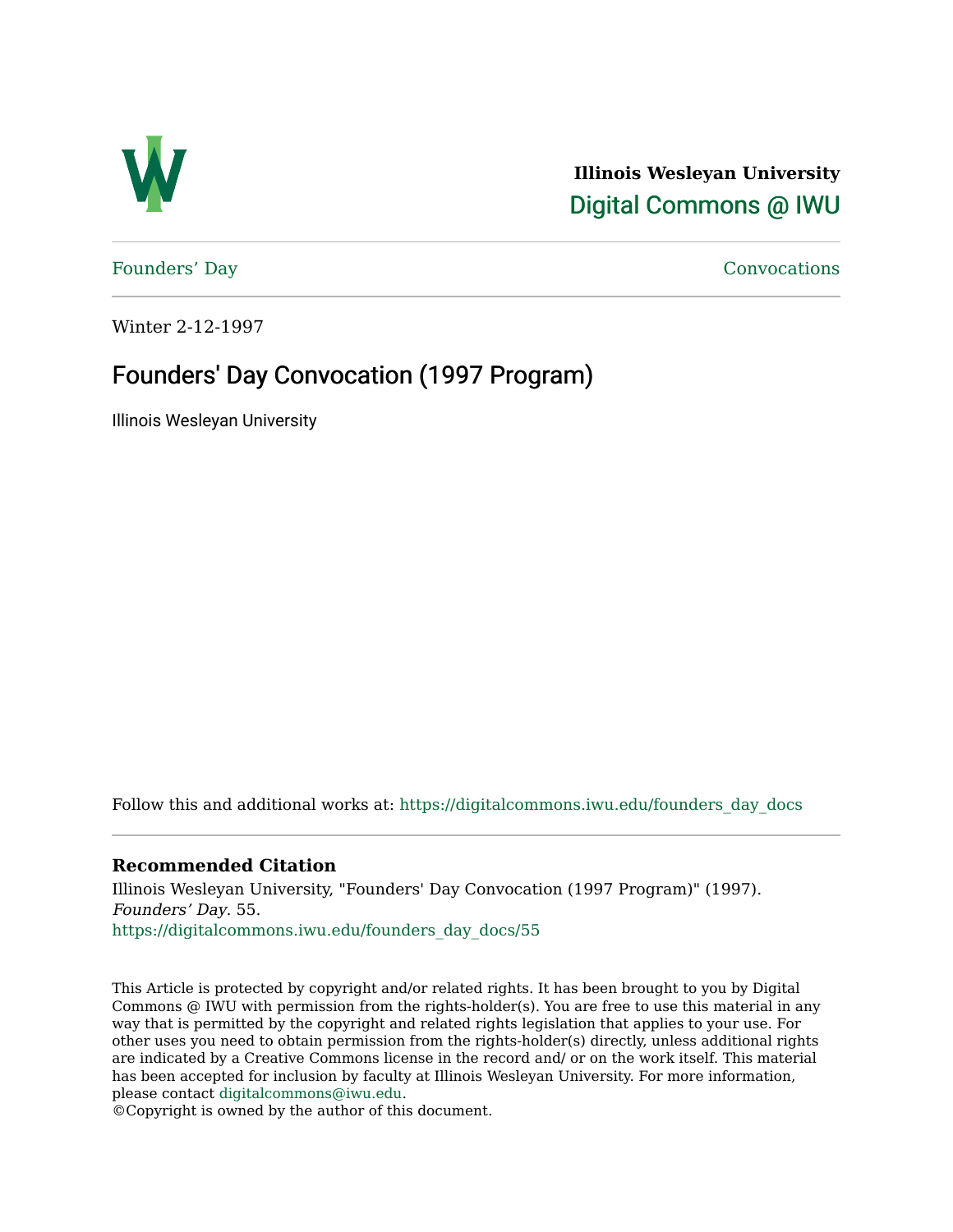

**Illinois Wesleyan University**  [Digital Commons @ IWU](https://digitalcommons.iwu.edu/) 

[Founders' Day](https://digitalcommons.iwu.edu/founders_day_docs) [Convocations](https://digitalcommons.iwu.edu/convocations_docs) 

Winter 2-12-1997

## Founders' Day Convocation (1997 Program)

Illinois Wesleyan University

Follow this and additional works at: [https://digitalcommons.iwu.edu/founders\\_day\\_docs](https://digitalcommons.iwu.edu/founders_day_docs?utm_source=digitalcommons.iwu.edu%2Ffounders_day_docs%2F55&utm_medium=PDF&utm_campaign=PDFCoverPages) 

### **Recommended Citation**

Illinois Wesleyan University, "Founders' Day Convocation (1997 Program)" (1997). Founders' Day. 55. [https://digitalcommons.iwu.edu/founders\\_day\\_docs/55](https://digitalcommons.iwu.edu/founders_day_docs/55?utm_source=digitalcommons.iwu.edu%2Ffounders_day_docs%2F55&utm_medium=PDF&utm_campaign=PDFCoverPages)

This Article is protected by copyright and/or related rights. It has been brought to you by Digital Commons @ IWU with permission from the rights-holder(s). You are free to use this material in any way that is permitted by the copyright and related rights legislation that applies to your use. For other uses you need to obtain permission from the rights-holder(s) directly, unless additional rights are indicated by a Creative Commons license in the record and/ or on the work itself. This material has been accepted for inclusion by faculty at Illinois Wesleyan University. For more information, please contact [digitalcommons@iwu.edu.](mailto:digitalcommons@iwu.edu)

©Copyright is owned by the author of this document.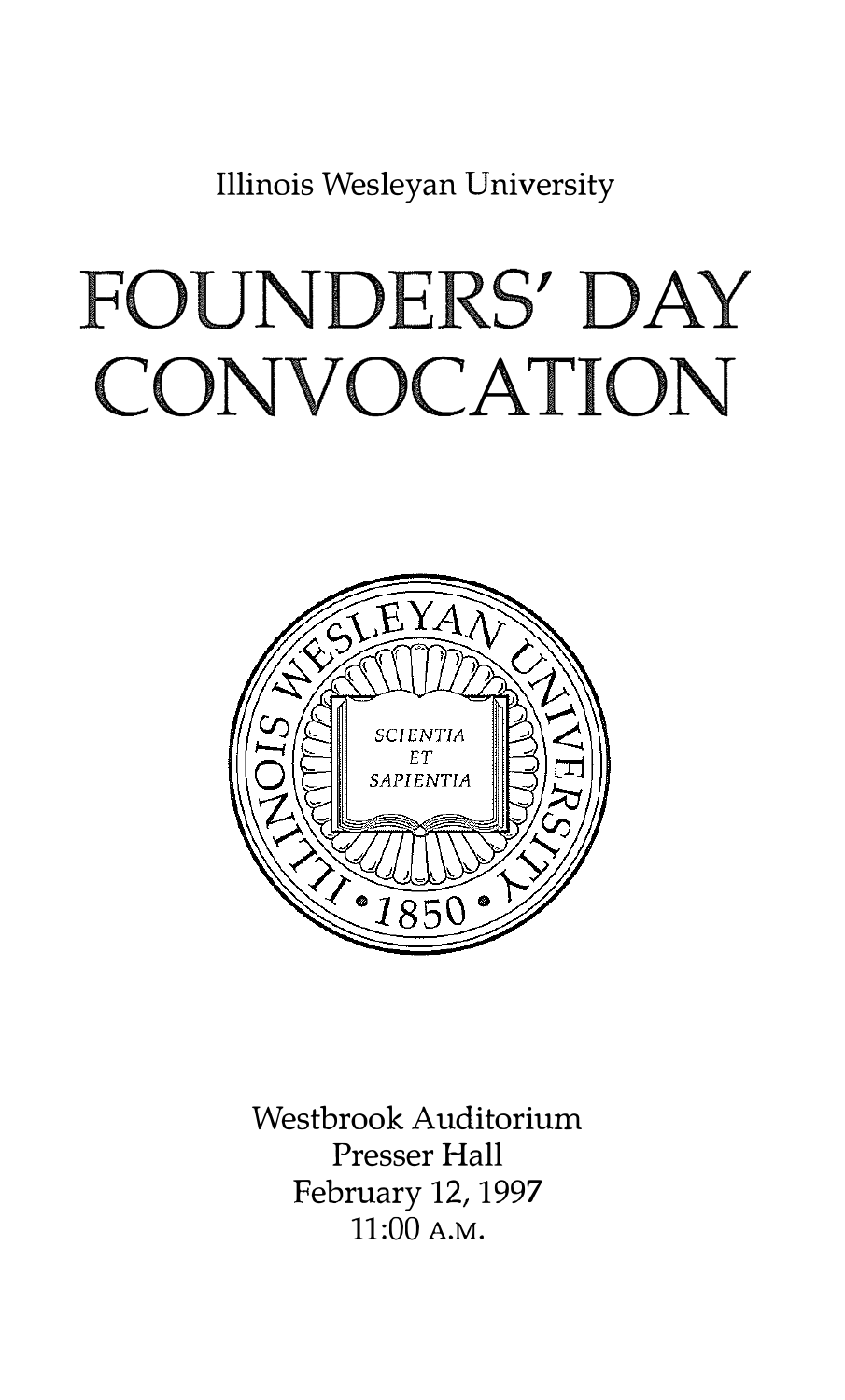Illinois Wesleyan University

# FOUNDERS' DAY CONVOCATION



Westbrook Auditorium Presser Hall February 12, 1997 11:00 A.M.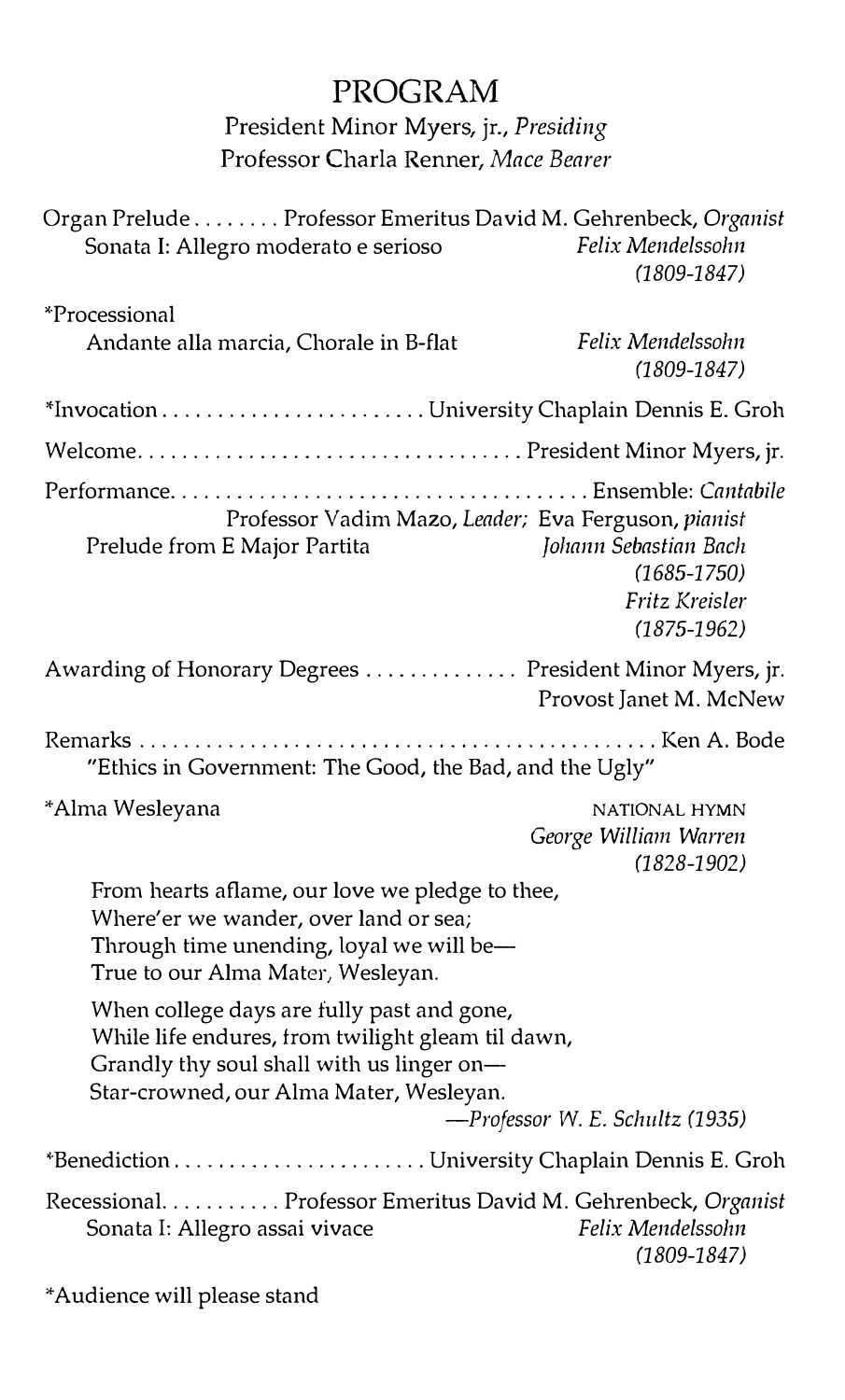## PROGRAM

President Minor Myers, jr., Presiding Professor Charla Renner, Mace Bearer

| Organ Prelude Professor Emeritus David M. Gehrenbeck, Organist<br>Sonata I: Allegro moderato e serioso                                                                                  | Felix Mendelssohn<br>$(1809 - 1847)$                                          |
|-----------------------------------------------------------------------------------------------------------------------------------------------------------------------------------------|-------------------------------------------------------------------------------|
| *Processional<br>Andante alla marcia, Chorale in B-flat                                                                                                                                 | Felix Mendelssohn<br>$(1809 - 1847)$                                          |
|                                                                                                                                                                                         |                                                                               |
|                                                                                                                                                                                         |                                                                               |
| Professor Vadim Mazo, Leader; Eva Ferguson, pianist<br>Prelude from E Major Partita                                                                                                     | Johann Sebastian Bach<br>$(1685 - 1750)$<br>Fritz Kreisler<br>$(1875 - 1962)$ |
| Awarding of Honorary Degrees President Minor Myers, jr.                                                                                                                                 | Provost Janet M. McNew                                                        |
| "Ethics in Government: The Good, the Bad, and the Ugly"                                                                                                                                 |                                                                               |
| *Alma Wesleyana                                                                                                                                                                         | NATIONAL HYMN<br>George William Warren<br>$(1828 - 1902)$                     |
| From hearts aflame, our love we pledge to thee,<br>Where'er we wander, over land or sea;<br>Through time unending, loyal we will be-<br>True to our Alma Mater, Wesleyan.               |                                                                               |
| When college days are fully past and gone,<br>While life endures, from twilight gleam til dawn,<br>Grandly thy soul shall with us linger on-<br>Star-crowned, our Alma Mater, Wesleyan. | -Professor W. E. Schultz (1935)                                               |
|                                                                                                                                                                                         |                                                                               |
| Recessional. Professor Emeritus David M. Gehrenbeck, Organist<br>Sonata I: Allegro assai vivace                                                                                         | Felix Mendelssohn<br>$(1809 - 1847)$                                          |

\*Audience will please stand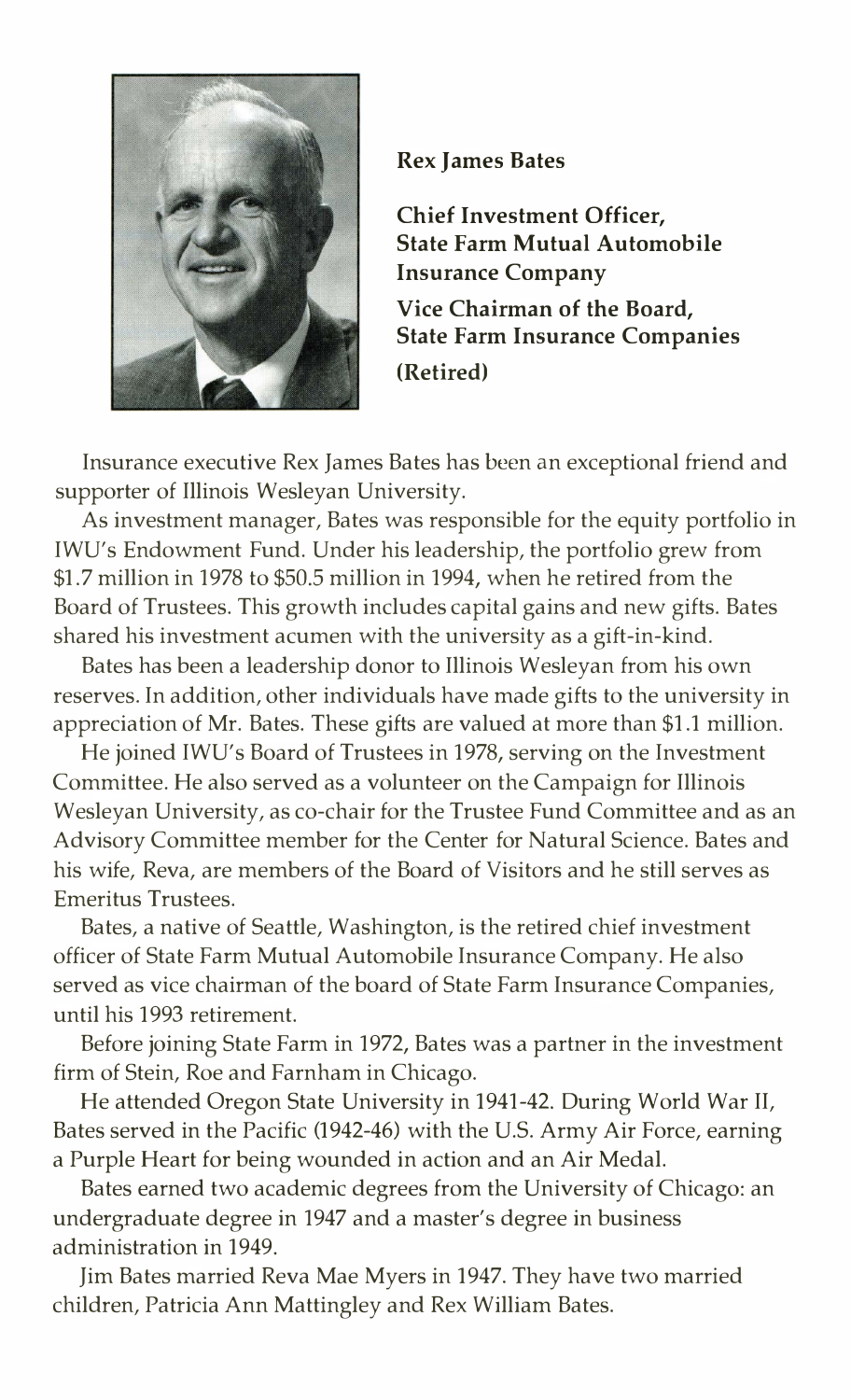

#### Rex James Bates

Chief Investment Officer, State Farm Mutual Automobile Insurance Company Vice Chairman of the Board, State Farm Insurance Companies (Retired)

Insurance executive Rex James Bates has been an exceptional friend and supporter of Illinois Wesleyan University.

As investment manager, Bates was responsible for the equity portfolio in IWU's Endowment Fund. Under his leadership, the portfolio grew from \$1.7 million in 1978 to \$50.5 million in 1994, when he retired from the Board of Trustees. This growth includes capital gains and new gifts. Bates shared his investment acumen with the university as a gift-in-kind.

Bates has been a leadership donor to Illinois Wesleyan from his own reserves. In addition, other individuals have made gifts to the university in appreciation of Mr. Bates. These gifts are valued at more than \$1.1 million.

He joined IWU's Board of Trustees in 1978, serving on the Investment Committee. He also served as a volunteer on the Campaign for Illinois Wesleyan University, as co-chair for the Trustee Fund Committee and as an Advisory Committee member for the Center for Natural Science. Bates and his wife, Reva, are members of the Board of Visitors and he still serves as Emeritus Trustees.

Bates, a native of Seattle, Washington, is the retired chief investment officer of State Farm Mutual Automobile Insurance Company. He also served as vice chairman of the board of State Farm Insurance Companies, until his 1993 retirement.

Before joining State Farm in 1972, Bates was a partner in the investment firm of Stein, Roe and Farnham in Chicago.

He attended Oregon State University in 1941-42. During World War II, Bates served in the Pacific (1942-46) with the U.S. Army Air Force, earning a Purple Heart for being wounded in action and an Air Medal.

Bates earned two academic degrees from the University of Chicago: an undergraduate degree in 1947 and a master's degree in business administration in 1949.

Jim Bates married Reva Mae Myers in 1947. They have two married children, Patricia Ann Mattingley and Rex William Bates.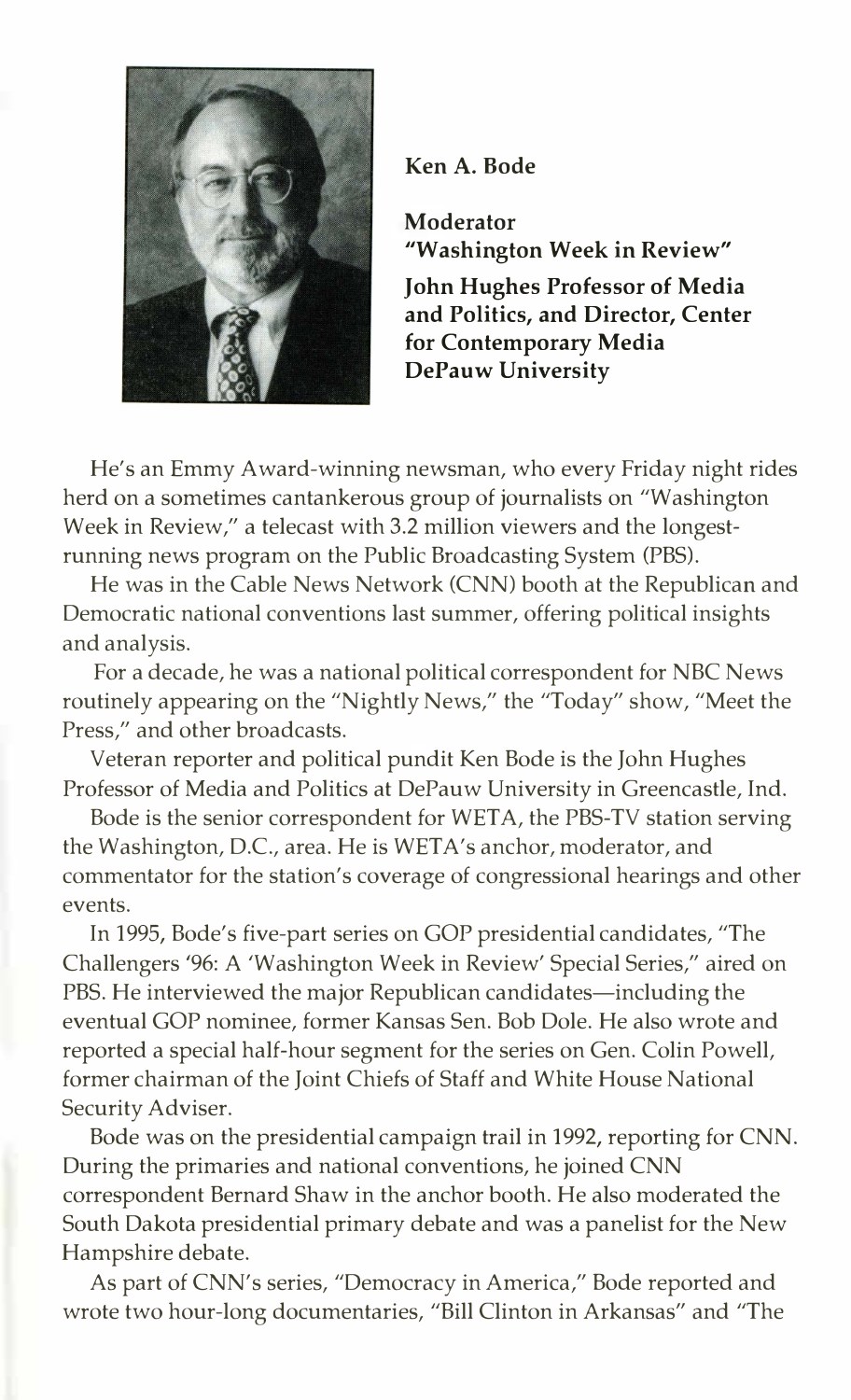

Ken A. Bode

Moderator "Washington Week in Review"

John Hughes Professor of Media and Politics, and Director, Center for Contemporary Media DePauw University

He's an Emmy Award-winning newsman, who every Friday night rides herd on a sometimes cantankerous group of journalists on "Washington Week in Review," a telecast with 3.2 million viewers and the longestrunning news program on the Public Broadcasting System (PBS).

He was in the Cable News Network (CNN) booth at the Republican and Democratic national conventions last summer, offering political insights and analysis.

For a decade, he was a national political correspondent for NBC News routinely appearing on the "Nightly News," the "Today" show, "Meet the Press," and other broadcasts.

Veteran reporter and political pundit Ken Bode is the John Hughes Professor of Media and Politics at DePauw University in Greencastle, Ind.

Bode is the senior correspondent for WETA, the PBS-TV station serving the Washington, D.C., area. He is WETA's anchor, moderator, and commentator for the station's coverage of congressional hearings and other events.

In 1995, Bode's five-part series on GOP presidential candidates, "The Challengers '96: A 'Washington Week in Review' Special Series," aired on PBS. He interviewed the major Republican candidates—including the eventual GOP nominee, former Kansas Sen. Bob Dole. He also wrote and reported a special half-hour segment for the series on Gen. Colin Powell, former chairman of the Joint Chiefs of Staff and White House National Security Adviser.

Bode was on the presidential campaign trail in 1992, reporting for CNN. During the primaries and national conventions, he joined CNN correspondent Bernard Shaw in the anchor booth. He also moderated the South Dakota presidential primary debate and was a panelist for the New Hampshire debate.

As part of CNN's series, "Democracy in America," Bode reported and wrote two hour-long documentaries, "Bill Clinton in Arkansas" and "The